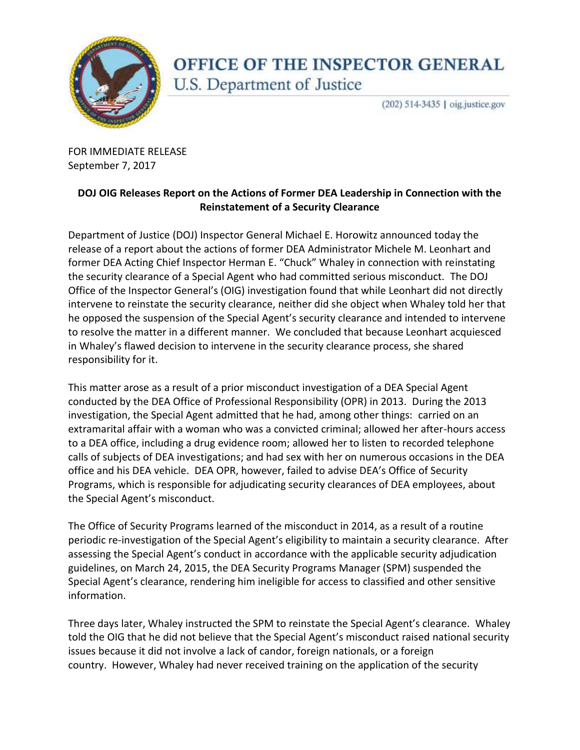

## OFFICE OF THE INSPECTOR GENERAL U.S. Department of Justice

(202) 514-3435 | oig.justice.gov

 FOR IMMEDIATE RELEASE September 7, 2017

## **DOJ OIG Releases Report on the Actions of Former DEA Leadership in Connection with the Reinstatement of a Security Clearance**

 Department of Justice (DOJ) Inspector General Michael E. Horowitz announced today the release of a report about the actions of former DEA Administrator Michele M. Leonhart and former DEA Acting Chief Inspector Herman E. "Chuck" Whaley in connection with reinstating the security clearance of a Special Agent who had committed serious misconduct. The DOJ Office of the Inspector General's (OIG) investigation found that while Leonhart did not directly intervene to reinstate the security clearance, neither did she object when Whaley told her that he opposed the suspension of the Special Agent's security clearance and intended to intervene to resolve the matter in a different manner. We concluded that because Leonhart acquiesced in Whaley's flawed decision to intervene in the security clearance process, she shared responsibility for it.

 This matter arose as a result of a prior misconduct investigation of a DEA Special Agent conducted by the DEA Office of Professional Responsibility (OPR) in 2013. During the 2013 investigation, the Special Agent admitted that he had, among other things: carried on an extramarital affair with a woman who was a convicted criminal; allowed her after-hours access to a DEA office, including a drug evidence room; allowed her to listen to recorded telephone calls of subjects of DEA investigations; and had sex with her on numerous occasions in the DEA office and his DEA vehicle. DEA OPR, however, failed to advise DEA's Office of Security Programs, which is responsible for adjudicating security clearances of DEA employees, about the Special Agent's misconduct.

 The Office of Security Programs learned of the misconduct in 2014, as a result of a routine periodic re-investigation of the Special Agent's eligibility to maintain a security clearance. After assessing the Special Agent's conduct in accordance with the applicable security adjudication guidelines, on March 24, 2015, the DEA Security Programs Manager (SPM) suspended the Special Agent's clearance, rendering him ineligible for access to classified and other sensitive information.

Three days later, Whaley instructed the SPM to reinstate the Special Agent's clearance. Whaley told the OIG that he did not believe that the Special Agent's misconduct raised national security issues because it did not involve a lack of candor, foreign nationals, or a foreign country. However, Whaley had never received training on the application of the security